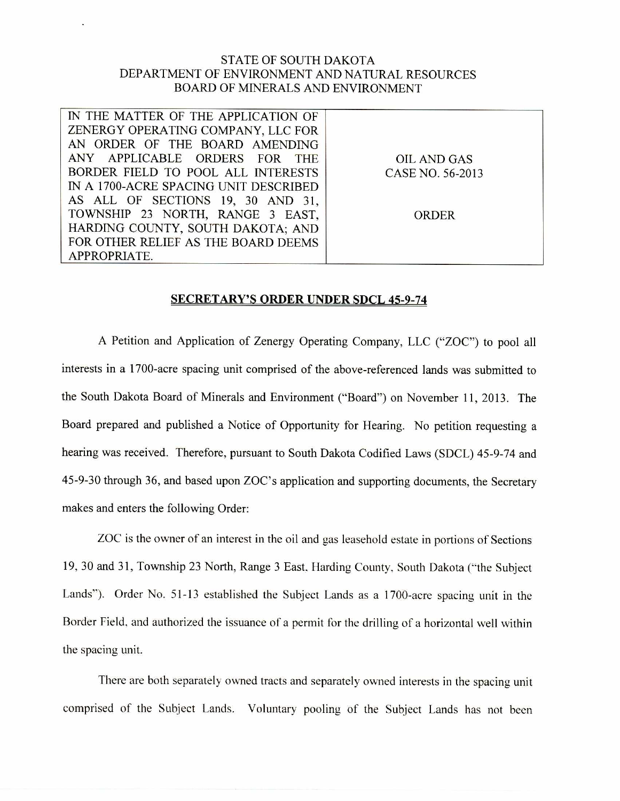## STATE OF SOUTH DAKOTA DEPARTMENT OF ENVIRONMENT AND NATURAL RESOURCES BOARD OF MINERALS AND ENVIRONMENT

| IN THE MATTER OF THE APPLICATION OF                      |  |
|----------------------------------------------------------|--|
| ZENERGY OPERATING COMPANY, LLC FOR                       |  |
| AN ORDER OF THE BOARD AMENDING                           |  |
| ANY APPLICABLE ORDERS FOR THE<br>OIL AND GAS             |  |
| BORDER FIELD TO POOL ALL INTERESTS  <br>CASE NO. 56-2013 |  |
| IN A 1700-ACRE SPACING UNIT DESCRIBED                    |  |
| AS ALL OF SECTIONS 19, 30 AND 31,                        |  |
| TOWNSHIP 23 NORTH, RANGE 3 EAST,<br><b>ORDER</b>         |  |
| HARDING COUNTY, SOUTH DAKOTA; AND                        |  |
| FOR OTHER RELIEF AS THE BOARD DEEMS                      |  |
| APPROPRIATE.                                             |  |

## SECRETARY'S ORDER UNDER SDCL 45-9-74

A Petition and Application of Zenergy Operating Company, LLC ("ZOC") to pool all interests in a 1700-acre spacing unit comprised of the above-referenced lands was submitted to the South Dakota Board of Minerals and Environment ("Board") on November 11, 2013. The Board prepared and published a Notice of Opportunity for Hearing. No petition requesting a hearing was received. Therefore, pursuant to South Dakota Codified Laws (SDCL) 45-9-74 and 45-9-30 through 36, and based upon ZOC's application and supporting documents, the Secretary makes and enters the following Order:

ZOC is the owner of an interest in the oil and gas leasehold estate in portions of Sections 19, 30 and 31, Township 23 North, Range 3 East, Harding County, South Dakota ("the Subject Lands"). Order No. 51-13 established the Subject Lands as a 1700-acre spacing unit in the Border Field, and authorized the issuance of a permit for the drilling of a horizontal well within the spacing unit.

There are both separately owned tracts and separately owned interests in the spacing unit comprised of the Subject Lands. Voluntary pooling of the Subject Lands has not been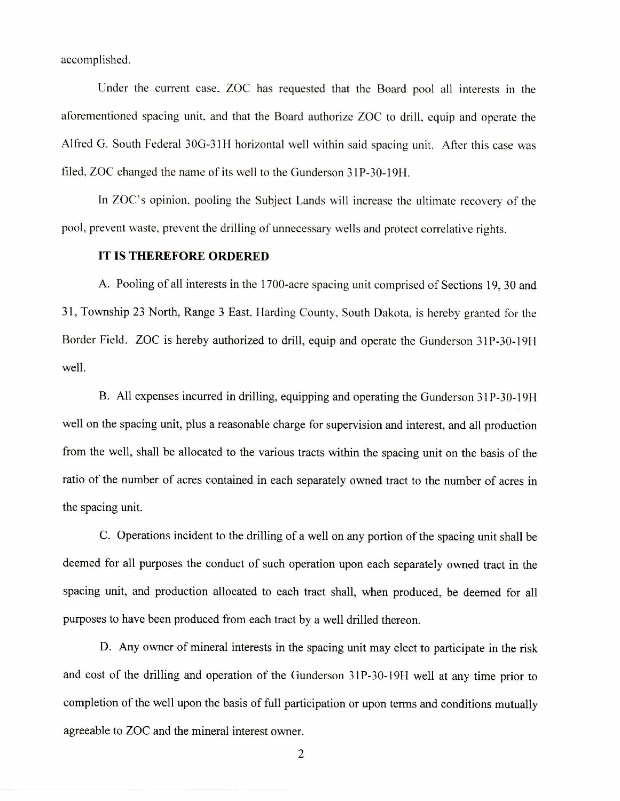accomplished.

Under the current case, ZOC has requested that the Board pool all interests in the aforementioned spacing unit, and that the Board authorize ZOC to drill, equip and operate the Alfred G. South Federal 30G-31H horizontal well within said spacing unit. After this case was filed, ZOC changed the name of its well to the Gunderson 31P-30-19H.

In ZOC's opinion, pooling the Subject Lands will increase the ultimate recovery of the pool, prevent waste, prevent the drilling of unnecessary wells and protect correlative rights.

## IT IS THEREFORE ORDERED

A. Pooling of all interests in the 1700-acre spacing unit comprised of Sections 19, 30 and 31, Township 23 North, Range 3 East, Harding County, South Dakota, is hereby granted for the Border Field. ZOC is hereby authorized to drill, equip and operate the Gunderson 31P-30-19H well.

B. All expenses incurred in drilling, equipping and operating the Gunderson 31P-30-19H well on the spacing unit, plus a reasonable charge for supervision and interest, and all production from the well, shall be allocated to the various tracts within the spacing unit on the basis of the ratio of the number of acres contained in each separately owned tract to the number of acres in the spacing unit.

C. Operations incident to the drilling of a well on any portion of the spacing unit shall be deemed for all purposes the conduct of such operation upon each separately owned tract in the spacing unit, and production allocated to each tract shall, when produced, be deemed for all purposes to have been produced from each tract by a well drilled thereon.

D. Any owner of mineral interests in the spacing unit may elect to participate in the risk and cost of the drilling and operation of the Gunderson 31P-30-19H well at any time prior to completion of the well upon the basis of full participation or upon terms and conditions mutually agreeable to ZOC and the mineral interest owner.

2